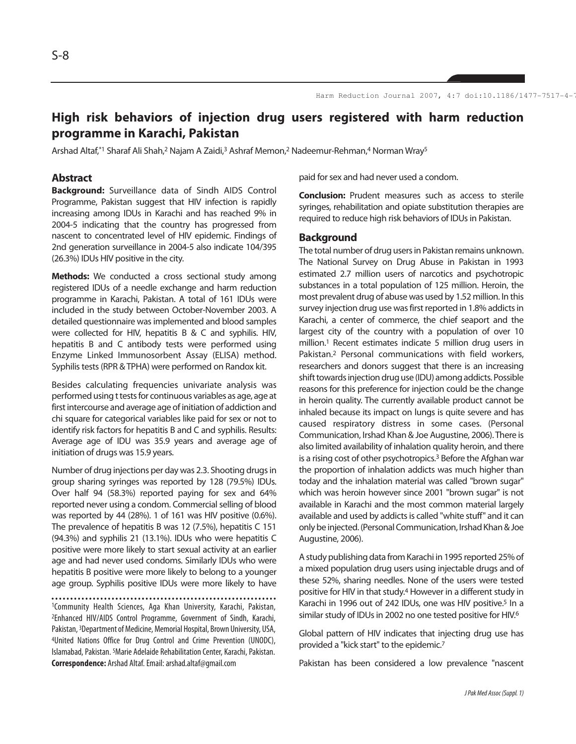# **High risk behaviors of injection drug users registered with harm reduction programme in Karachi, Pakistan**

Arshad Altaf,\*1 Sharaf Ali Shah,<sup>2</sup> Najam A Zaidi,<sup>3</sup> Ashraf Memon,<sup>2</sup> Nadeemur-Rehman,<sup>4</sup> Norman Wray<sup>5</sup>

### **Abstract**

**Background:** Surveillance data of Sindh AIDS Control Programme, Pakistan suggest that HIV infection is rapidly increasing among IDUs in Karachi and has reached 9% in 2004-5 indicating that the country has progressed from nascent to concentrated level of HIV epidemic. Findings of 2nd generation surveillance in 2004-5 also indicate 104/395 (26.3%) IDUs HIV positive in the city.

**Methods:** We conducted a cross sectional study among registered IDUs of a needle exchange and harm reduction programme in Karachi, Pakistan. A total of 161 IDUs were included in the study between October-November 2003. A detailed questionnaire was implemented and blood samples were collected for HIV, hepatitis B & C and syphilis. HIV, hepatitis B and C antibody tests were performed using Enzyme Linked Immunosorbent Assay (ELISA) method. Syphilis tests (RPR & TPHA) were performed on Randox kit.

Besides calculating frequencies univariate analysis was performed using t tests for continuous variables as age, age at first intercourse and average age of initiation of addiction and chi square for categorical variables like paid for sex or not to identify risk factors for hepatitis B and C and syphilis. Results: Average age of IDU was 35.9 years and average age of initiation of drugs was 15.9 years.

Number of drug injections per day was 2.3. Shooting drugs in group sharing syringes was reported by 128 (79.5%) IDUs. Over half 94 (58.3%) reported paying for sex and 64% reported never using a condom. Commercial selling of blood was reported by 44 (28%). 1 of 161 was HIV positive (0.6%). The prevalence of hepatitis B was 12 (7.5%), hepatitis C 151 (94.3%) and syphilis 21 (13.1%). IDUs who were hepatitis C positive were more likely to start sexual activity at an earlier age and had never used condoms. Similarly IDUs who were hepatitis B positive were more likely to belong to a younger age group. Syphilis positive IDUs were more likely to have

1Community Health Sciences, Aga Khan University, Karachi, Pakistan, 2Enhanced HIV/AIDS Control Programme, Government of Sindh, Karachi, Pakistan, 3Department of Medicine, Memorial Hospital, Brown University, USA, 4United Nations Office for Drug Control and Crime Prevention (UNODC), Islamabad, Pakistan. 5Marie Adelaide Rehabilitation Center, Karachi, Pakistan. **Correspondence:** Arshad Altaf. Email: arshad.altaf@gmail.com

paid for sex and had never used a condom.

**Conclusion:** Prudent measures such as access to sterile syringes, rehabilitation and opiate substitution therapies are required to reduce high risk behaviors of IDUs in Pakistan.

### **Background**

The total number of drug users in Pakistan remains unknown. The National Survey on Drug Abuse in Pakistan in 1993 estimated 2.7 million users of narcotics and psychotropic substances in a total population of 125 million. Heroin, the most prevalent drug of abuse was used by 1.52 million. In this survey injection drug use was first reported in 1.8% addicts in Karachi, a center of commerce, the chief seaport and the largest city of the country with a population of over 10 million.<sup>1</sup> Recent estimates indicate 5 million drug users in Pakistan.<sup>2</sup> Personal communications with field workers, researchers and donors suggest that there is an increasing shift towards injection drug use (IDU) among addicts. Possible reasons for this preference for injection could be the change in heroin quality. The currently available product cannot be inhaled because its impact on lungs is quite severe and has caused respiratory distress in some cases. (Personal Communication, Irshad Khan & Joe Augustine, 2006). There is also limited availability of inhalation quality heroin, and there is a rising cost of other psychotropics.<sup>3</sup> Before the Afghan war the proportion of inhalation addicts was much higher than today and the inhalation material was called "brown sugar" which was heroin however since 2001 "brown sugar" is not available in Karachi and the most common material largely available and used by addicts is called "white stuff" and it can only be injected. (Personal Communication, Irshad Khan & Joe Augustine, 2006).

A study publishing data from Karachi in 1995 reported 25% of a mixed population drug users using injectable drugs and of these 52%, sharing needles. None of the users were tested positive for HIV in that study.<sup>4</sup> However in a different study in Karachi in 1996 out of 242 IDUs, one was HIV positive.<sup>5</sup> In a similar study of IDUs in 2002 no one tested positive for HIV.<sup>6</sup>

Global pattern of HIV indicates that injecting drug use has provided a "kick start" to the epidemic.<sup>7</sup>

Pakistan has been considered a low prevalence "nascent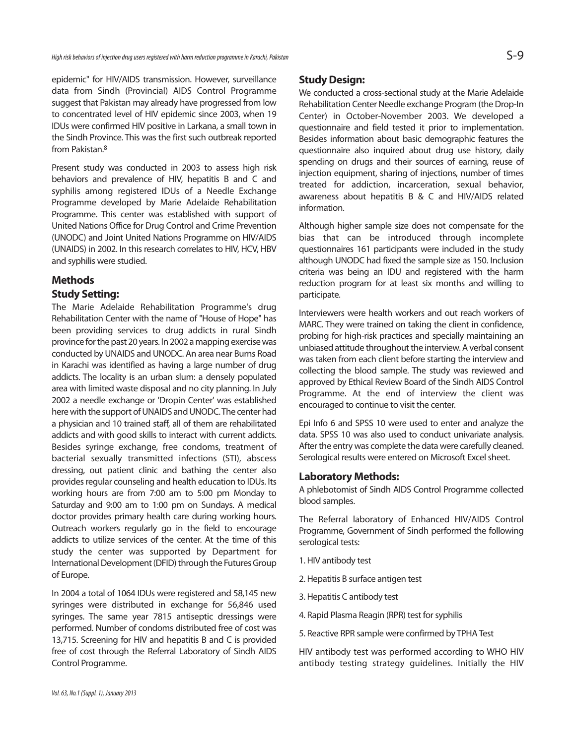epidemic" for HIV/AIDS transmission. However, surveillance data from Sindh (Provincial) AIDS Control Programme suggest that Pakistan may already have progressed from low to concentrated level of HIV epidemic since 2003, when 19 IDUs were confirmed HIV positive in Larkana, a small town in the Sindh Province. This was the first such outbreak reported from Pakistan.<sup>8</sup>

Present study was conducted in 2003 to assess high risk behaviors and prevalence of HIV, hepatitis B and C and syphilis among registered IDUs of a Needle Exchange Programme developed by Marie Adelaide Rehabilitation Programme. This center was established with support of United Nations Office for Drug Control and Crime Prevention (UNODC) and Joint United Nations Programme on HIV/AIDS (UNAIDS) in 2002. In this research correlates to HIV, HCV, HBV and syphilis were studied.

# **Methods Study Setting:**

The Marie Adelaide Rehabilitation Programme's drug Rehabilitation Center with the name of "House of Hope" has been providing services to drug addicts in rural Sindh province for the past 20 years. In 2002 a mapping exercise was conducted by UNAIDS and UNODC. An area near Burns Road in Karachi was identified as having a large number of drug addicts. The locality is an urban slum: a densely populated area with limited waste disposal and no city planning. In July 2002 a needle exchange or 'Dropin Center' was established here with the support of UNAIDS and UNODC. The center had a physician and 10 trained staff, all of them are rehabilitated addicts and with good skills to interact with current addicts. Besides syringe exchange, free condoms, treatment of bacterial sexually transmitted infections (STI), abscess dressing, out patient clinic and bathing the center also provides regular counseling and health education to IDUs. Its working hours are from 7:00 am to 5:00 pm Monday to Saturday and 9:00 am to 1:00 pm on Sundays. A medical doctor provides primary health care during working hours. Outreach workers regularly go in the field to encourage addicts to utilize services of the center. At the time of this study the center was supported by Department for International Development (DFID) through the Futures Group of Europe.

In 2004 a total of 1064 IDUs were registered and 58,145 new syringes were distributed in exchange for 56,846 used syringes. The same year 7815 antiseptic dressings were performed. Number of condoms distributed free of cost was 13,715. Screening for HIV and hepatitis B and C is provided free of cost through the Referral Laboratory of Sindh AIDS Control Programme.

## **Study Design:**

We conducted a cross-sectional study at the Marie Adelaide Rehabilitation Center Needle exchange Program (the Drop-In Center) in October-November 2003. We developed a questionnaire and field tested it prior to implementation. Besides information about basic demographic features the questionnaire also inquired about drug use history, daily spending on drugs and their sources of earning, reuse of injection equipment, sharing of injections, number of times treated for addiction, incarceration, sexual behavior, awareness about hepatitis B & C and HIV/AIDS related information.

Although higher sample size does not compensate for the bias that can be introduced through incomplete questionnaires 161 participants were included in the study although UNODC had fixed the sample size as 150. Inclusion criteria was being an IDU and registered with the harm reduction program for at least six months and willing to participate.

Interviewers were health workers and out reach workers of MARC. They were trained on taking the client in confidence, probing for high-risk practices and specially maintaining an unbiased attitude throughout the interview. A verbal consent was taken from each client before starting the interview and collecting the blood sample. The study was reviewed and approved by Ethical Review Board of the Sindh AIDS Control Programme. At the end of interview the client was encouraged to continue to visit the center.

Epi Info 6 and SPSS 10 were used to enter and analyze the data. SPSS 10 was also used to conduct univariate analysis. After the entry was complete the data were carefully cleaned. Serological results were entered on Microsoft Excel sheet.

## **Laboratory Methods:**

A phlebotomist of Sindh AIDS Control Programme collected blood samples.

The Referral laboratory of Enhanced HIV/AIDS Control Programme, Government of Sindh performed the following serological tests:

- 1. HIV antibody test
- 2. Hepatitis B surface antigen test
- 3. Hepatitis C antibody test
- 4. Rapid Plasma Reagin (RPR) test for syphilis
- 5. Reactive RPR sample were confirmed by TPHA Test

HIV antibody test was performed according to WHO HIV antibody testing strategy guidelines. Initially the HIV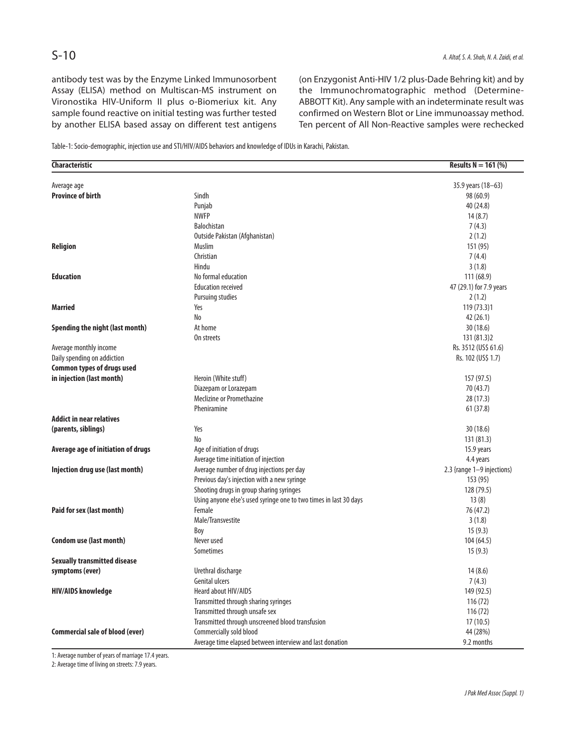antibody test was by the Enzyme Linked Immunosorbent Assay (ELISA) method on Multiscan-MS instrument on Vironostika HIV-Uniform II plus o-Biomeriux kit. Any sample found reactive on initial testing was further tested by another ELISA based assay on different test antigens

(on Enzygonist Anti-HIV 1/2 plus-Dade Behring kit) and by the Immunochromatographic method (Determine-ABBOTT Kit). Any sample with an indeterminate result was confirmed on Western Blot or Line immunoassay method. Ten percent of All Non-Reactive samples were rechecked

Table-1: Socio-demographic, injection use and STI/HIV/AIDS behaviors and knowledge of IDUs in Karachi, Pakistan.

| Characteristic                         |                                                                   | <b>Results N</b> = 161 (%)        |
|----------------------------------------|-------------------------------------------------------------------|-----------------------------------|
| Average age                            |                                                                   | 35.9 years (18-63)                |
| <b>Province of birth</b>               | Sindh                                                             | 98 (60.9)                         |
|                                        | Punjab                                                            | 40 (24.8)                         |
|                                        | <b>NWFP</b>                                                       | 14(8.7)                           |
|                                        | <b>Balochistan</b>                                                | 7(4.3)                            |
|                                        | Outside Pakistan (Afghanistan)                                    | 2(1.2)                            |
| Religion                               | Muslim                                                            | 151 (95)                          |
|                                        | Christian                                                         | 7(4.4)                            |
|                                        | Hindu                                                             | 3(1.8)                            |
| <b>Education</b>                       | No formal education                                               | 111(68.9)                         |
|                                        | <b>Education received</b>                                         |                                   |
|                                        |                                                                   | 47 (29.1) for 7.9 years<br>2(1.2) |
|                                        | <b>Pursuing studies</b>                                           |                                   |
| <b>Married</b>                         | Yes                                                               | 119 (73.3)1                       |
|                                        | No                                                                | 42 (26.1)                         |
| Spending the night (last month)        | At home                                                           | 30(18.6)                          |
|                                        | On streets                                                        | 131 (81.3) 2                      |
| Average monthly income                 |                                                                   | Rs. 3512 (US\$ 61.6)              |
| Daily spending on addiction            |                                                                   | Rs. 102 (US\$ 1.7)                |
| <b>Common types of drugs used</b>      |                                                                   |                                   |
| in injection (last month)              | Heroin (White stuff)                                              | 157 (97.5)                        |
|                                        | Diazepam or Lorazepam                                             | 70 (43.7)                         |
|                                        | Meclizine or Promethazine                                         | 28(17.3)                          |
|                                        | Pheniramine                                                       | 61(37.8)                          |
| <b>Addict in near relatives</b>        |                                                                   |                                   |
| (parents, siblings)                    | Yes                                                               | 30(18.6)                          |
|                                        | No                                                                | 131 (81.3)                        |
| Average age of initiation of drugs     | Age of initiation of drugs                                        | 15.9 years                        |
|                                        | Average time initiation of injection                              | 4.4 years                         |
| Injection drug use (last month)        | Average number of drug injections per day                         | 2.3 {range 1-9 injections)        |
|                                        | Previous day's injection with a new syringe                       | 153 (95)                          |
|                                        | Shooting drugs in group sharing syringes                          | 128 (79.5)                        |
|                                        | Using anyone else's used syringe one to two times in last 30 days | 13(8)                             |
| Paid for sex (last month)              | Female                                                            | 76 (47.2)                         |
|                                        | Male/Transvestite                                                 | 3(1.8)                            |
|                                        | Boy                                                               | 15(9.3)                           |
| Condom use (last month)                | Never used                                                        | 104 (64.5)                        |
|                                        | Sometimes                                                         | 15(9.3)                           |
| <b>Sexually transmitted disease</b>    |                                                                   |                                   |
| symptoms (ever)                        | Urethral discharge                                                | 14(8.6)                           |
|                                        | <b>Genital ulcers</b>                                             | 7(4.3)                            |
| <b>HIV/AIDS knowledge</b>              | Heard about HIV/AIDS                                              | 149 (92.5)                        |
|                                        | Transmitted through sharing syringes                              | 116(72)                           |
|                                        | Transmitted through unsafe sex                                    | 116(72)                           |
|                                        | Transmitted through unscreened blood transfusion                  |                                   |
|                                        |                                                                   | 17(10.5)                          |
| <b>Commercial sale of blood (ever)</b> | Commercially sold blood                                           | 44 (28%)                          |
|                                        | Average time elapsed between interview and last donation          | 9.2 months                        |

1: Average number of years of marriage 17.4 years.

2: Average time of living on streets: 7.9 years.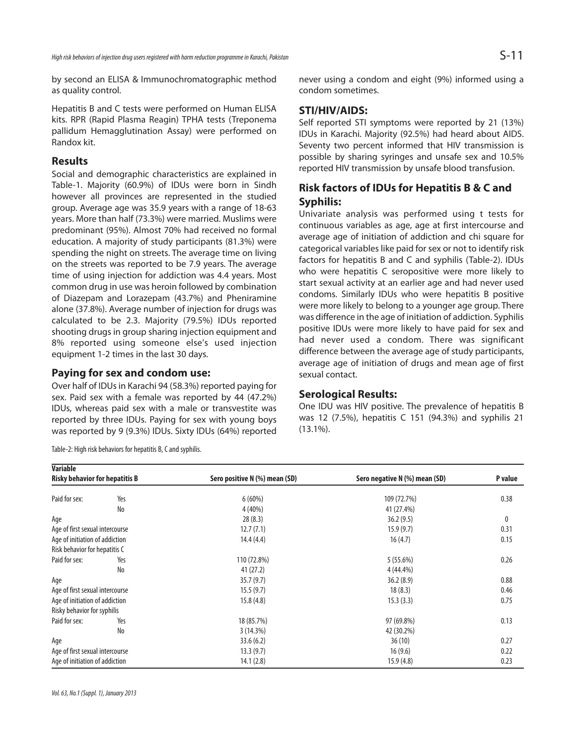by second an ELISA & Immunochromatographic method as quality control.

Hepatitis B and C tests were performed on Human ELISA kits. RPR (Rapid Plasma Reagin) TPHA tests (Treponema pallidum Hemagglutination Assay) were performed on Randox kit.

## **Results**

Social and demographic characteristics are explained in Table-1. Majority (60.9%) of IDUs were born in Sindh however all provinces are represented in the studied group. Average age was 35.9 years with a range of 18-63 years. More than half (73.3%) were married. Muslims were predominant (95%). Almost 70% had received no formal education. A majority of study participants (81.3%) were spending the night on streets. The average time on living on the streets was reported to be 7.9 years. The average time of using injection for addiction was 4.4 years. Most common drug in use was heroin followed by combination of Diazepam and Lorazepam (43.7%) and Pheniramine alone (37.8%). Average number of injection for drugs was calculated to be 2.3. Majority (79.5%) IDUs reported shooting drugs in group sharing injection equipment and 8% reported using someone else's used injection equipment 1-2 times in the last 30 days.

## **Paying for sex and condom use:**

Over half of IDUs in Karachi 94 (58.3%) reported paying for sex. Paid sex with a female was reported by 44 (47.2%) IDUs, whereas paid sex with a male or transvestite was reported by three IDUs. Paying for sex with young boys was reported by 9 (9.3%) IDUs. Sixty IDUs (64%) reported

Table-2: High risk behaviors for hepatitis B, C and syphilis.

**Variable**

never using a condom and eight (9%) informed using a condom sometimes.

# **STI/HIV/AIDS:**

Self reported STI symptoms were reported by 21 (13%) IDUs in Karachi. Majority (92.5%) had heard about AIDS. Seventy two percent informed that HIV transmission is possible by sharing syringes and unsafe sex and 10.5% reported HIV transmission by unsafe blood transfusion.

# **Risk factors of IDUs for Hepatitis B & C and Syphilis:**

Univariate analysis was performed using t tests for continuous variables as age, age at first intercourse and average age of initiation of addiction and chi square for categorical variables like paid for sex or not to identify risk factors for hepatitis B and C and syphilis (Table-2). IDUs who were hepatitis C seropositive were more likely to start sexual activity at an earlier age and had never used condoms. Similarly IDUs who were hepatitis B positive were more likely to belong to a younger age group. There was difference in the age of initiation of addiction. Syphilis positive IDUs were more likely to have paid for sex and had never used a condom. There was significant difference between the average age of study participants, average age of initiation of drugs and mean age of first sexual contact.

## **Serological Results:**

One IDU was HIV positive. The prevalence of hepatitis B was 12 (7.5%), hepatitis C 151 (94.3%) and syphilis 21 (13.1%).

| variable<br><b>Risky behavior for hepatitis B</b> |     | Sero positive N (%) mean (SD) | Sero negative N (%) mean (SD) | P value |
|---------------------------------------------------|-----|-------------------------------|-------------------------------|---------|
| Paid for sex:                                     | Yes | 6(60%)                        | 109 (72.7%)                   | 0.38    |
|                                                   | No  | 4 (40%)                       | 41 (27.4%)                    |         |
| Age                                               |     | 28(8.3)                       | 36.2(9.5)                     | 0       |
| Age of first sexual intercourse                   |     | 12.7(7.1)                     | 15.9(9.7)                     | 0.31    |
| Age of initiation of addiction                    |     | 14.4(4.4)                     | 16(4.7)                       | 0.15    |
| Risk behavior for hepatitis C                     |     |                               |                               |         |
| Paid for sex:                                     | Yes | 110 (72.8%)                   | 5(55.6%)                      | 0.26    |
|                                                   | No  | 41(27.2)                      | 4 (44.4%)                     |         |
| Age                                               |     | 35.7(9.7)                     | 36.2(8.9)                     | 0.88    |
| Age of first sexual intercourse                   |     | 15.5(9.7)                     | 18(8.3)                       | 0.46    |
| Age of initiation of addiction                    |     | 15.8(4.8)                     | 15.3(3.3)                     | 0.75    |
| Risky behavior for syphilis                       |     |                               |                               |         |
| Paid for sex:                                     | Yes | 18 (85.7%)                    | 97 (69.8%)                    | 0.13    |
|                                                   | No  | 3(14.3%)                      | 42 (30.2%)                    |         |
| Age                                               |     | 33.6(6.2)                     | 36(10)                        | 0.27    |
| Age of first sexual intercourse                   |     | 13.3(9.7)                     | 16(9.6)                       | 0.22    |
| Age of initiation of addiction                    |     | 14.1(2.8)                     | 15.9(4.8)                     | 0.23    |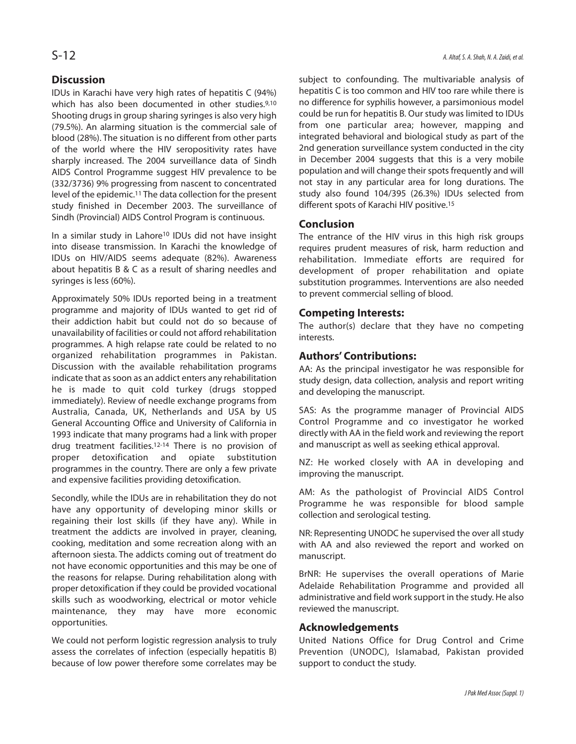# **Discussion**

IDUs in Karachi have very high rates of hepatitis C (94%) which has also been documented in other studies.<sup>9,10</sup> Shooting drugs in group sharing syringes is also very high (79.5%). An alarming situation is the commercial sale of blood (28%). The situation is no different from other parts of the world where the HIV seropositivity rates have sharply increased. The 2004 surveillance data of Sindh AIDS Control Programme suggest HIV prevalence to be (332/3736) 9% progressing from nascent to concentrated level of the epidemic.<sup>11</sup> The data collection for the present study finished in December 2003. The surveillance of Sindh (Provincial) AIDS Control Program is continuous.

In a similar study in Lahore<sup>10</sup> IDUs did not have insight into disease transmission. In Karachi the knowledge of IDUs on HIV/AIDS seems adequate (82%). Awareness about hepatitis B & C as a result of sharing needles and syringes is less (60%).

Approximately 50% IDUs reported being in a treatment programme and majority of IDUs wanted to get rid of their addiction habit but could not do so because of unavailability of facilities or could not afford rehabilitation programmes. A high relapse rate could be related to no organized rehabilitation programmes in Pakistan. Discussion with the available rehabilitation programs indicate that as soon as an addict enters any rehabilitation he is made to quit cold turkey (drugs stopped immediately). Review of needle exchange programs from Australia, Canada, UK, Netherlands and USA by US General Accounting Office and University of California in 1993 indicate that many programs had a link with proper drug treatment facilities.12-14 There is no provision of proper detoxification and opiate substitution programmes in the country. There are only a few private and expensive facilities providing detoxification.

Secondly, while the IDUs are in rehabilitation they do not have any opportunity of developing minor skills or regaining their lost skills (if they have any). While in treatment the addicts are involved in prayer, cleaning, cooking, meditation and some recreation along with an afternoon siesta. The addicts coming out of treatment do not have economic opportunities and this may be one of the reasons for relapse. During rehabilitation along with proper detoxification if they could be provided vocational skills such as woodworking, electrical or motor vehicle maintenance, they may have more economic opportunities.

We could not perform logistic regression analysis to truly assess the correlates of infection (especially hepatitis B) because of low power therefore some correlates may be

subject to confounding. The multivariable analysis of hepatitis C is too common and HIV too rare while there is no difference for syphilis however, a parsimonious model could be run for hepatitis B. Our study was limited to IDUs from one particular area; however, mapping and integrated behavioral and biological study as part of the 2nd generation surveillance system conducted in the city in December 2004 suggests that this is a very mobile population and will change their spots frequently and will not stay in any particular area for long durations. The study also found 104/395 (26.3%) IDUs selected from different spots of Karachi HIV positive.<sup>15</sup>

## **Conclusion**

The entrance of the HIV virus in this high risk groups requires prudent measures of risk, harm reduction and rehabilitation. Immediate efforts are required for development of proper rehabilitation and opiate substitution programmes. Interventions are also needed to prevent commercial selling of blood.

## **Competing Interests:**

The author(s) declare that they have no competing interests.

## **Authors' Contributions:**

AA: As the principal investigator he was responsible for study design, data collection, analysis and report writing and developing the manuscript.

SAS: As the programme manager of Provincial AIDS Control Programme and co investigator he worked directly with AA in the field work and reviewing the report and manuscript as well as seeking ethical approval.

NZ: He worked closely with AA in developing and improving the manuscript.

AM: As the pathologist of Provincial AIDS Control Programme he was responsible for blood sample collection and serological testing.

NR: Representing UNODC he supervised the over all study with AA and also reviewed the report and worked on manuscript.

BrNR: He supervises the overall operations of Marie Adelaide Rehabilitation Programme and provided all administrative and field work support in the study. He also reviewed the manuscript.

## **Acknowledgements**

United Nations Office for Drug Control and Crime Prevention (UNODC), Islamabad, Pakistan provided support to conduct the study.